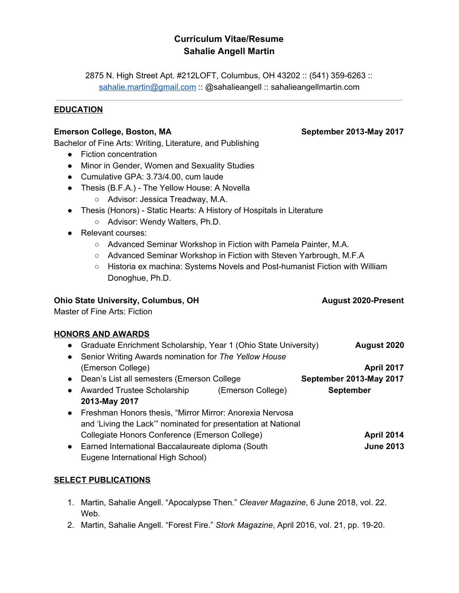# **Curriculum Vitae/Resume Sahalie Angell Martin**

2875 N. High Street Apt. #212LOFT, Columbus, OH 43202 :: (541) 359-6263 :: [sahalie.martin@gmail.com](mailto:sahalie.martin@gmail.com) :: @sahalieangell :: sahalieangellmartin.com

## **EDUCATION**

## **Emerson College, Boston, MA September 2013-May 2017**

Bachelor of Fine Arts: Writing, Literature, and Publishing

- Fiction concentration
- Minor in Gender, Women and Sexuality Studies
- Cumulative GPA: 3.73/4.00, cum laude
- Thesis (B.F.A.) The Yellow House: A Novella
	- Advisor: Jessica Treadway, M.A.
- Thesis (Honors) Static Hearts: A History of Hospitals in Literature
	- Advisor: Wendy Walters, Ph.D.
- Relevant courses:
	- Advanced Seminar Workshop in Fiction with Pamela Painter, M.A.
	- Advanced Seminar Workshop in Fiction with Steven Yarbrough, M.F.A
	- Historia ex machina: Systems Novels and Post-humanist Fiction with William Donoghue, Ph.D.

## **Ohio State University, Columbus, OH August 2020-Present**

Master of Fine Arts: Fiction

### **HONORS AND AWARDS**

- Graduate Enrichment Scholarship, Year 1 (Ohio State University) **August 2020**
- Senior Writing Awards nomination for *The Yellow House* (Emerson College) **April 2017**
- Dean's List all semesters (Emerson College **September 2013-May 2017**
- Awarded Trustee Scholarship (Emerson College) **September 2013-May 2017**
- Freshman Honors thesis, "Mirror Mirror: Anorexia Nervosa and 'Living the Lack'" nominated for presentation at National Collegiate Honors Conference (Emerson College) **April 2014**
- Earned International Baccalaureate diploma (South **June 2013** Eugene International High School)

# **SELECT PUBLICATIONS**

- 1. Martin, Sahalie Angell. "Apocalypse Then." *Cleaver Magazine*, 6 June 2018, vol. 22. Web.
- 2. Martin, Sahalie Angell. "Forest Fire." *Stork Magazine*, April 2016, vol. 21, pp. 19-20.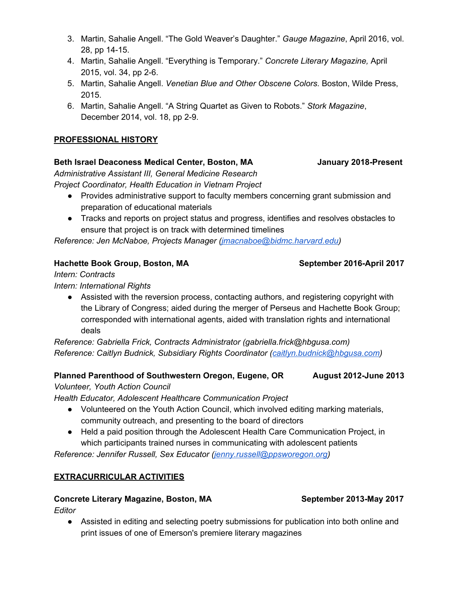- 3. Martin, Sahalie Angell. "The Gold Weaver's Daughter." *Gauge Magazine*, April 2016, vol. 28, pp 14-15.
- 4. Martin, Sahalie Angell. "Everything is Temporary." *Concrete Literary Magazine,* April 2015, vol. 34, pp 2-6.
- 5. Martin, Sahalie Angell. *Venetian Blue and Other Obscene Colors*. Boston, Wilde Press, 2015.
- 6. Martin, Sahalie Angell. "A String Quartet as Given to Robots." *Stork Magazine*, December 2014, vol. 18, pp 2-9.

## **PROFESSIONAL HISTORY**

## **Beth Israel Deaconess Medical Center, Boston, MA January 2018-Present**

*Administrative Assistant III, General Medicine Research Project Coordinator, Health Education in Vietnam Project*

- Provides administrative support to faculty members concerning grant submission and preparation of educational materials
- Tracks and reports on project status and progress, identifies and resolves obstacles to ensure that project is on track with determined timelines

*Reference: Jen McNaboe, Projects Manager ([jmacnaboe@bidmc.harvard.edu\)](mailto:jmacnaboe@bidmc.harvard.edu)*

## **Hachette Book Group, Boston, MA September 2016-April 2017**

*Intern: Contracts*

*Intern: International Rights*

• Assisted with the reversion process, contacting authors, and registering copyright with the Library of Congress; aided during the merger of Perseus and Hachette Book Group; corresponded with international agents, aided with translation rights and international deals

*Reference: Gabriella Frick, Contracts Administrator (gabriella.frick@hbgusa.com) Reference: Caitlyn Budnick, Subsidiary Rights Coordinator ([caitlyn.budnick@hbgusa.com](mailto:caitlyn.budnick@hbgusa.com))*

### **Planned Parenthood of Southwestern Oregon, Eugene, OR August 2012-June 2013**

*Volunteer, Youth Action Council*

*Health Educator, Adolescent Healthcare Communication Project*

- Volunteered on the Youth Action Council, which involved editing marking materials, community outreach, and presenting to the board of directors
- Held a paid position through the Adolescent Health Care Communication Project, in which participants trained nurses in communicating with adolescent patients

*Reference: Jennifer Russell, Sex Educator ([jenny.russell@ppsworegon.org\)](mailto:jenny.russell@ppsworegon.org)*

### **EXTRACURRICULAR ACTIVITIES**

### **Concrete Literary Magazine, Boston, MA September 2013-May 2017**

*Editor*

● Assisted in editing and selecting poetry submissions for publication into both online and print issues of one of Emerson's premiere literary magazines